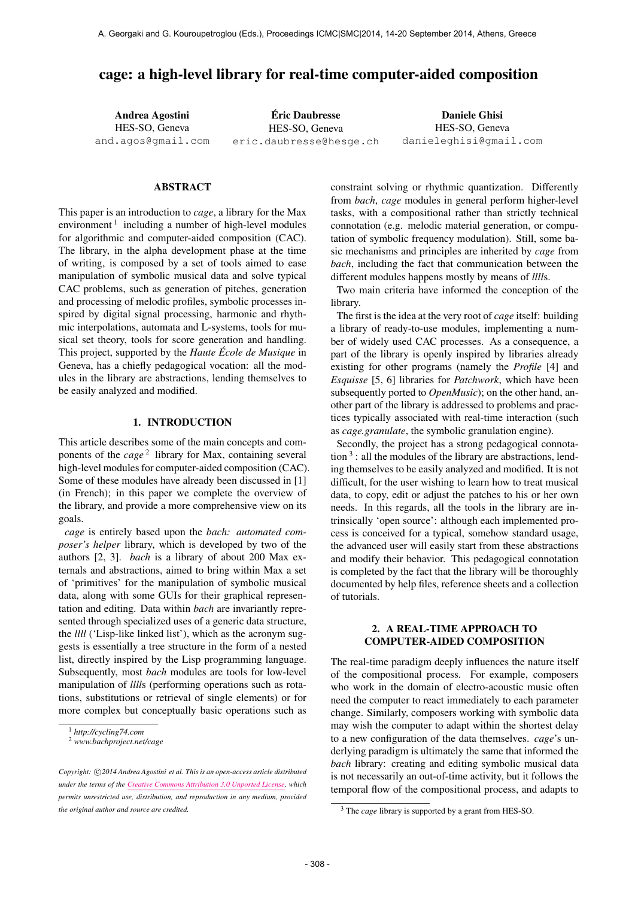# cage: a high-level library for real-time computer-aided composition

Andrea Agostini HES-SO, Geneva [and.agos@gmail.com](mailto:and.agos@gmail.com) Eric Daubresse ´ HES-SO, Geneva [eric.daubresse@hesge.ch](mailto:eric.daubresse@hesge.ch) Daniele Ghisi HES-SO, Geneva [danieleghisi@gmail.com](mailto:danieleghisi@gmail.com)

#### ABSTRACT

This paper is an introduction to *cage*, a library for the Max environment<sup>1</sup> including a number of high-level modules for algorithmic and computer-aided composition (CAC). The library, in the alpha development phase at the time of writing, is composed by a set of tools aimed to ease manipulation of symbolic musical data and solve typical CAC problems, such as generation of pitches, generation and processing of melodic profiles, symbolic processes inspired by digital signal processing, harmonic and rhythmic interpolations, automata and L-systems, tools for musical set theory, tools for score generation and handling. This project, supported by the *Haute École de Musique* in Geneva, has a chiefly pedagogical vocation: all the modules in the library are abstractions, lending themselves to be easily analyzed and modified.

## 1. INTRODUCTION

This article describes some of the main concepts and components of the *cage*<sup>2</sup> library for Max, containing several high-level modules for computer-aided composition (CAC). Some of these modules have already been discussed in [1] (in French); in this paper we complete the overview of the library, and provide a more comprehensive view on its goals.

*cage* is entirely based upon the *bach: automated composer's helper* library, which is developed by two of the authors [2, 3]. *bach* is a library of about 200 Max externals and abstractions, aimed to bring within Max a set of 'primitives' for the manipulation of symbolic musical data, along with some GUIs for their graphical representation and editing. Data within *bach* are invariantly represented through specialized uses of a generic data structure, the *llll* ('Lisp-like linked list'), which as the acronym suggests is essentially a tree structure in the form of a nested list, directly inspired by the Lisp programming language. Subsequently, most *bach* modules are tools for low-level manipulation of *llll*s (performing operations such as rotations, substitutions or retrieval of single elements) or for more complex but conceptually basic operations such as constraint solving or rhythmic quantization. Differently from *bach*, *cage* modules in general perform higher-level tasks, with a compositional rather than strictly technical connotation (e.g. melodic material generation, or computation of symbolic frequency modulation). Still, some basic mechanisms and principles are inherited by *cage* from *bach*, including the fact that communication between the different modules happens mostly by means of *llll*s.

Two main criteria have informed the conception of the library.

The first is the idea at the very root of *cage* itself: building a library of ready-to-use modules, implementing a number of widely used CAC processes. As a consequence, a part of the library is openly inspired by libraries already existing for other programs (namely the *Profile* [4] and *Esquisse* [5, 6] libraries for *Patchwork*, which have been subsequently ported to *OpenMusic*); on the other hand, another part of the library is addressed to problems and practices typically associated with real-time interaction (such as *cage.granulate*, the symbolic granulation engine).

Secondly, the project has a strong pedagogical connota- $\frac{1}{3}$  : all the modules of the library are abstractions, lending themselves to be easily analyzed and modified. It is not difficult, for the user wishing to learn how to treat musical data, to copy, edit or adjust the patches to his or her own needs. In this regards, all the tools in the library are intrinsically 'open source': although each implemented process is conceived for a typical, somehow standard usage, the advanced user will easily start from these abstractions and modify their behavior. This pedagogical connotation is completed by the fact that the library will be thoroughly documented by help files, reference sheets and a collection of tutorials.

# 2. A REAL-TIME APPROACH TO COMPUTER-AIDED COMPOSITION

The real-time paradigm deeply influences the nature itself of the compositional process. For example, composers who work in the domain of electro-acoustic music often need the computer to react immediately to each parameter change. Similarly, composers working with symbolic data may wish the computer to adapt within the shortest delay to a new configuration of the data themselves. *cage*'s underlying paradigm is ultimately the same that informed the *bach* library: creating and editing symbolic musical data is not necessarily an out-of-time activity, but it follows the temporal flow of the compositional process, and adapts to

<sup>1</sup> *http://cycling74.com*

<sup>2</sup> *www.bachproject.net/cage*

Copyright:  $\bigcirc$ 2014 Andrea Agostini et al. This is an open-access article distributed *under the terms of the [Creative Commons Attribution 3.0 Unported License,](http://creativecommons.org/licenses/by/3.0/) which permits unrestricted use, distribution, and reproduction in any medium, provided the original author and source are credited.*

<sup>3</sup> The *cage* library is supported by a grant from HES-SO.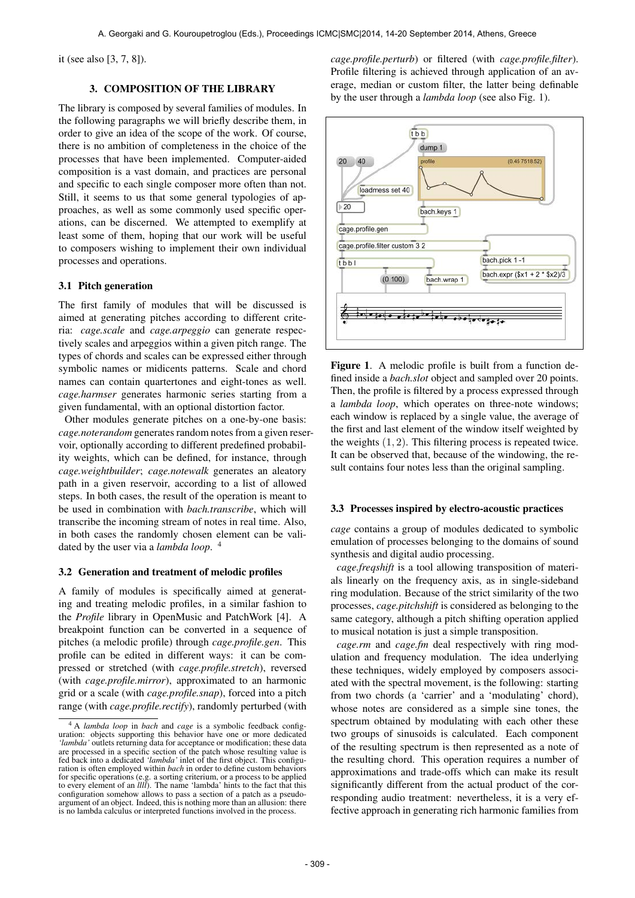it (see also [3, 7, 8]).

# 3. COMPOSITION OF THE LIBRARY

The library is composed by several families of modules. In the following paragraphs we will briefly describe them, in order to give an idea of the scope of the work. Of course, there is no ambition of completeness in the choice of the processes that have been implemented. Computer-aided composition is a vast domain, and practices are personal and specific to each single composer more often than not. Still, it seems to us that some general typologies of approaches, as well as some commonly used specific operations, can be discerned. We attempted to exemplify at least some of them, hoping that our work will be useful to composers wishing to implement their own individual processes and operations.

### 3.1 Pitch generation

The first family of modules that will be discussed is aimed at generating pitches according to different criteria: *cage.scale* and *cage.arpeggio* can generate respectively scales and arpeggios within a given pitch range. The types of chords and scales can be expressed either through symbolic names or midicents patterns. Scale and chord names can contain quartertones and eight-tones as well. *cage.harmser* generates harmonic series starting from a given fundamental, with an optional distortion factor.

Other modules generate pitches on a one-by-one basis: *cage.noterandom* generates random notes from a given reservoir, optionally according to different predefined probability weights, which can be defined, for instance, through *cage.weightbuilder*; *cage.notewalk* generates an aleatory path in a given reservoir, according to a list of allowed steps. In both cases, the result of the operation is meant to be used in combination with *bach.transcribe*, which will transcribe the incoming stream of notes in real time. Also, in both cases the randomly chosen element can be validated by the user via a *lambda loop*. 4

### 3.2 Generation and treatment of melodic profiles

A family of modules is specifically aimed at generating and treating melodic profiles, in a similar fashion to the *Profile* library in OpenMusic and PatchWork [4]. A breakpoint function can be converted in a sequence of pitches (a melodic profile) through *cage.profile.gen*. This profile can be edited in different ways: it can be compressed or stretched (with *cage.profile.stretch*), reversed (with *cage.profile.mirror*), approximated to an harmonic grid or a scale (with *cage.profile.snap*), forced into a pitch range (with *cage.profile.rectify*), randomly perturbed (with

*cage.profile.perturb*) or filtered (with *cage.profile.filter*). Profile filtering is achieved through application of an average, median or custom filter, the latter being definable by the user through a *lambda loop* (see also Fig. 1).



Figure 1. A melodic profile is built from a function defined inside a *bach.slot* object and sampled over 20 points. Then, the profile is filtered by a process expressed through a *lambda loop*, which operates on three-note windows; each window is replaced by a single value, the average of the first and last element of the window itself weighted by the weights  $(1, 2)$ . This filtering process is repeated twice. It can be observed that, because of the windowing, the result contains four notes less than the original sampling.

### 3.3 Processes inspired by electro-acoustic practices

*cage* contains a group of modules dedicated to symbolic emulation of processes belonging to the domains of sound synthesis and digital audio processing.

*cage.freqshift* is a tool allowing transposition of materials linearly on the frequency axis, as in single-sideband ring modulation. Because of the strict similarity of the two processes, *cage.pitchshift* is considered as belonging to the same category, although a pitch shifting operation applied to musical notation is just a simple transposition.

*cage.rm* and *cage.fm* deal respectively with ring modulation and frequency modulation. The idea underlying these techniques, widely employed by composers associated with the spectral movement, is the following: starting from two chords (a 'carrier' and a 'modulating' chord), whose notes are considered as a simple sine tones, the spectrum obtained by modulating with each other these two groups of sinusoids is calculated. Each component of the resulting spectrum is then represented as a note of the resulting chord. This operation requires a number of approximations and trade-offs which can make its result significantly different from the actual product of the corresponding audio treatment: nevertheless, it is a very effective approach in generating rich harmonic families from

<sup>4</sup> A *lambda loop* in *bach* and *cage* is a symbolic feedback configuration: objects supporting this behavior have one or more dedicated 'lambda' outlets returning data for acceptance or modification; these data all the processed in a specific section of the patch whose resulting value is fed back into a dedicated *'lambda'* inlet of the first object. This configuration is often employed within *bach* in order to define custom behaviors for specific operations (e.g. a sorting criterium, or a process to be applied to every element of an *llll*). The name 'lambda' hints to the fact that this configuration somehow allows to pass a section of a patch as a pseudo-argument of an object. Indeed, this is nothing more than an allusion: there is no lambda calculus or interpreted functions involved in the process.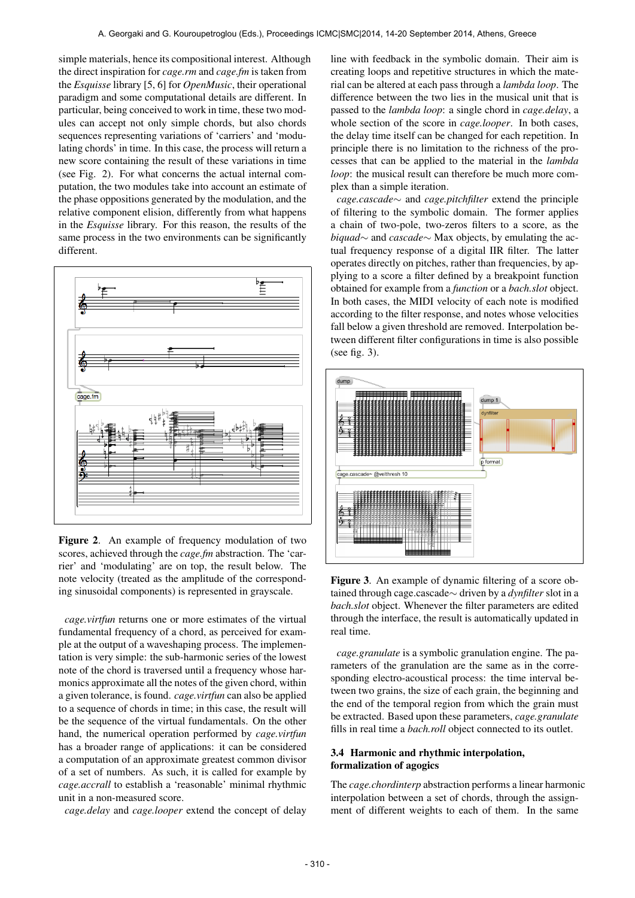simple materials, hence its compositional interest. Although the direct inspiration for *cage.rm* and *cage.fm* is taken from the *Esquisse* library [5, 6] for *OpenMusic*, their operational paradigm and some computational details are different. In particular, being conceived to work in time, these two modules can accept not only simple chords, but also chords sequences representing variations of 'carriers' and 'modulating chords' in time. In this case, the process will return a new score containing the result of these variations in time (see Fig. 2). For what concerns the actual internal computation, the two modules take into account an estimate of the phase oppositions generated by the modulation, and the relative component elision, differently from what happens in the *Esquisse* library. For this reason, the results of the same process in the two environments can be significantly different.



Figure 2. An example of frequency modulation of two scores, achieved through the *cage.fm* abstraction. The 'carrier' and 'modulating' are on top, the result below. The note velocity (treated as the amplitude of the corresponding sinusoidal components) is represented in grayscale.

*cage.virtfun* returns one or more estimates of the virtual fundamental frequency of a chord, as perceived for example at the output of a waveshaping process. The implementation is very simple: the sub-harmonic series of the lowest note of the chord is traversed until a frequency whose harmonics approximate all the notes of the given chord, within a given tolerance, is found. *cage.virtfun* can also be applied to a sequence of chords in time; in this case, the result will be the sequence of the virtual fundamentals. On the other hand, the numerical operation performed by *cage.virtfun* has a broader range of applications: it can be considered a computation of an approximate greatest common divisor of a set of numbers. As such, it is called for example by *cage.accrall* to establish a 'reasonable' minimal rhythmic unit in a non-measured score.

*cage.delay* and *cage.looper* extend the concept of delay

line with feedback in the symbolic domain. Their aim is creating loops and repetitive structures in which the material can be altered at each pass through a *lambda loop*. The difference between the two lies in the musical unit that is passed to the *lambda loop*: a single chord in *cage.delay*, a whole section of the score in *cage.looper*. In both cases, the delay time itself can be changed for each repetition. In principle there is no limitation to the richness of the processes that can be applied to the material in the *lambda loop*: the musical result can therefore be much more complex than a simple iteration.

*cage.cascade*∼ and *cage.pitchfilter* extend the principle of filtering to the symbolic domain. The former applies a chain of two-pole, two-zeros filters to a score, as the *biquad*∼ and *cascade*∼ Max objects, by emulating the actual frequency response of a digital IIR filter. The latter operates directly on pitches, rather than frequencies, by applying to a score a filter defined by a breakpoint function obtained for example from a *function* or a *bach.slot* object. In both cases, the MIDI velocity of each note is modified according to the filter response, and notes whose velocities fall below a given threshold are removed. Interpolation between different filter configurations in time is also possible (see fig. 3).



Figure 3. An example of dynamic filtering of a score obtained through cage.cascade∼ driven by a *dynfilter* slot in a *bach.slot* object. Whenever the filter parameters are edited through the interface, the result is automatically updated in real time.

*cage.granulate* is a symbolic granulation engine. The parameters of the granulation are the same as in the corresponding electro-acoustical process: the time interval between two grains, the size of each grain, the beginning and the end of the temporal region from which the grain must be extracted. Based upon these parameters, *cage.granulate* fills in real time a *bach.roll* object connected to its outlet.

# 3.4 Harmonic and rhythmic interpolation, formalization of agogics

The *cage.chordinterp* abstraction performs a linear harmonic interpolation between a set of chords, through the assignment of different weights to each of them. In the same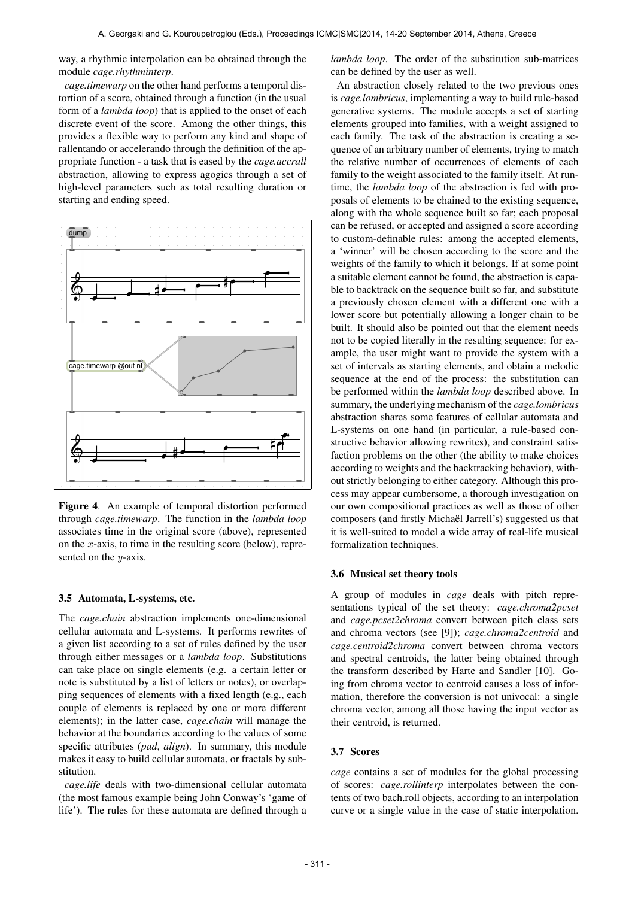way, a rhythmic interpolation can be obtained through the module *cage.rhythminterp*.

*cage.timewarp* on the other hand performs a temporal distortion of a score, obtained through a function (in the usual form of a *lambda loop*) that is applied to the onset of each discrete event of the score. Among the other things, this provides a flexible way to perform any kind and shape of rallentando or accelerando through the definition of the appropriate function - a task that is eased by the *cage.accrall* abstraction, allowing to express agogics through a set of high-level parameters such as total resulting duration or starting and ending speed.



Figure 4. An example of temporal distortion performed through *cage.timewarp*. The function in the *lambda loop* associates time in the original score (above), represented on the x-axis, to time in the resulting score (below), represented on the  $y$ -axis.

#### 3.5 Automata, L-systems, etc.

The *cage.chain* abstraction implements one-dimensional cellular automata and L-systems. It performs rewrites of a given list according to a set of rules defined by the user through either messages or a *lambda loop*. Substitutions can take place on single elements (e.g. a certain letter or note is substituted by a list of letters or notes), or overlapping sequences of elements with a fixed length (e.g., each couple of elements is replaced by one or more different elements); in the latter case, *cage.chain* will manage the behavior at the boundaries according to the values of some specific attributes (*pad*, *align*). In summary, this module makes it easy to build cellular automata, or fractals by substitution.

*cage.life* deals with two-dimensional cellular automata (the most famous example being John Conway's 'game of life'). The rules for these automata are defined through a *lambda loop*. The order of the substitution sub-matrices can be defined by the user as well.

An abstraction closely related to the two previous ones is *cage.lombricus*, implementing a way to build rule-based generative systems. The module accepts a set of starting elements grouped into families, with a weight assigned to each family. The task of the abstraction is creating a sequence of an arbitrary number of elements, trying to match the relative number of occurrences of elements of each family to the weight associated to the family itself. At runtime, the *lambda loop* of the abstraction is fed with proposals of elements to be chained to the existing sequence, along with the whole sequence built so far; each proposal can be refused, or accepted and assigned a score according to custom-definable rules: among the accepted elements, a 'winner' will be chosen according to the score and the weights of the family to which it belongs. If at some point a suitable element cannot be found, the abstraction is capable to backtrack on the sequence built so far, and substitute a previously chosen element with a different one with a lower score but potentially allowing a longer chain to be built. It should also be pointed out that the element needs not to be copied literally in the resulting sequence: for example, the user might want to provide the system with a set of intervals as starting elements, and obtain a melodic sequence at the end of the process: the substitution can be performed within the *lambda loop* described above. In summary, the underlying mechanism of the *cage.lombricus* abstraction shares some features of cellular automata and L-systems on one hand (in particular, a rule-based constructive behavior allowing rewrites), and constraint satisfaction problems on the other (the ability to make choices according to weights and the backtracking behavior), without strictly belonging to either category. Although this process may appear cumbersome, a thorough investigation on our own compositional practices as well as those of other composers (and firstly Michaël Jarrell's) suggested us that it is well-suited to model a wide array of real-life musical formalization techniques.

#### 3.6 Musical set theory tools

A group of modules in *cage* deals with pitch representations typical of the set theory: *cage.chroma2pcset* and *cage.pcset2chroma* convert between pitch class sets and chroma vectors (see [9]); *cage.chroma2centroid* and *cage.centroid2chroma* convert between chroma vectors and spectral centroids, the latter being obtained through the transform described by Harte and Sandler [10]. Going from chroma vector to centroid causes a loss of information, therefore the conversion is not univocal: a single chroma vector, among all those having the input vector as their centroid, is returned.

### 3.7 Scores

*cage* contains a set of modules for the global processing of scores: *cage.rollinterp* interpolates between the contents of two bach.roll objects, according to an interpolation curve or a single value in the case of static interpolation.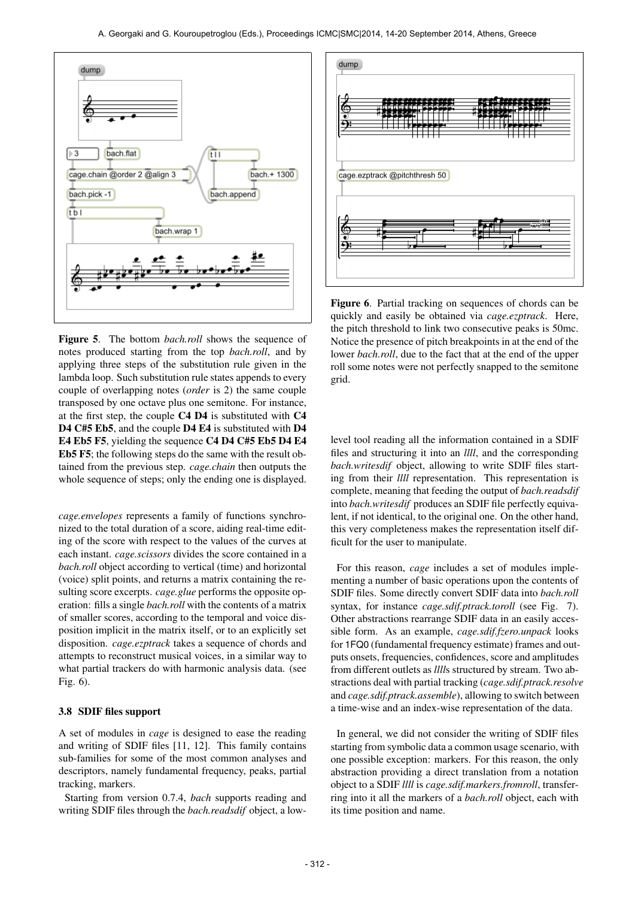

Figure 5. The bottom *bach.roll* shows the sequence of notes produced starting from the top *bach.roll*, and by applying three steps of the substitution rule given in the lambda loop. Such substitution rule states appends to every couple of overlapping notes (*order* is 2) the same couple transposed by one octave plus one semitone. For instance, at the first step, the couple C4 D4 is substituted with C4 D4 C#5 Eb5, and the couple D4 E4 is substituted with D4 E4 Eb5 F5, yielding the sequence C4 D4 C#5 Eb5 D4 E4 Eb5 F5; the following steps do the same with the result obtained from the previous step. *cage.chain* then outputs the whole sequence of steps; only the ending one is displayed.

*cage.envelopes* represents a family of functions synchronized to the total duration of a score, aiding real-time editing of the score with respect to the values of the curves at each instant. *cage.scissors* divides the score contained in a *bach.roll* object according to vertical (time) and horizontal (voice) split points, and returns a matrix containing the resulting score excerpts. *cage.glue* performs the opposite operation: fills a single *bach.roll* with the contents of a matrix of smaller scores, according to the temporal and voice disposition implicit in the matrix itself, or to an explicitly set disposition. *cage.ezptrack* takes a sequence of chords and attempts to reconstruct musical voices, in a similar way to what partial trackers do with harmonic analysis data. (see Fig. 6).

## 3.8 SDIF files support

A set of modules in *cage* is designed to ease the reading and writing of SDIF files [11, 12]. This family contains sub-families for some of the most common analyses and descriptors, namely fundamental frequency, peaks, partial tracking, markers.

Starting from version 0.7.4, *bach* supports reading and writing SDIF files through the *bach.readsdif* object, a low-



Figure 6. Partial tracking on sequences of chords can be quickly and easily be obtained via *cage.ezptrack*. Here, the pitch threshold to link two consecutive peaks is 50mc. Notice the presence of pitch breakpoints in at the end of the lower *bach.roll*, due to the fact that at the end of the upper roll some notes were not perfectly snapped to the semitone grid.

level tool reading all the information contained in a SDIF files and structuring it into an *llll*, and the corresponding *bach.writesdif* object, allowing to write SDIF files starting from their *llll* representation. This representation is complete, meaning that feeding the output of *bach.readsdif* into *bach.writesdif* produces an SDIF file perfectly equivalent, if not identical, to the original one. On the other hand, this very completeness makes the representation itself difficult for the user to manipulate.

For this reason, *cage* includes a set of modules implementing a number of basic operations upon the contents of SDIF files. Some directly convert SDIF data into *bach.roll* syntax, for instance *cage.sdif.ptrack.toroll* (see Fig. 7). Other abstractions rearrange SDIF data in an easily accessible form. As an example, *cage.sdif.fzero.unpack* looks for 1FQ0 (fundamental frequency estimate) frames and outputs onsets, frequencies, confidences, score and amplitudes from different outlets as *llll*s structured by stream. Two abstractions deal with partial tracking (*cage.sdif.ptrack.resolve* and *cage.sdif.ptrack.assemble*), allowing to switch between a time-wise and an index-wise representation of the data.

In general, we did not consider the writing of SDIF files starting from symbolic data a common usage scenario, with one possible exception: markers. For this reason, the only abstraction providing a direct translation from a notation object to a SDIF *llll* is *cage.sdif.markers.fromroll*, transferring into it all the markers of a *bach.roll* object, each with its time position and name.